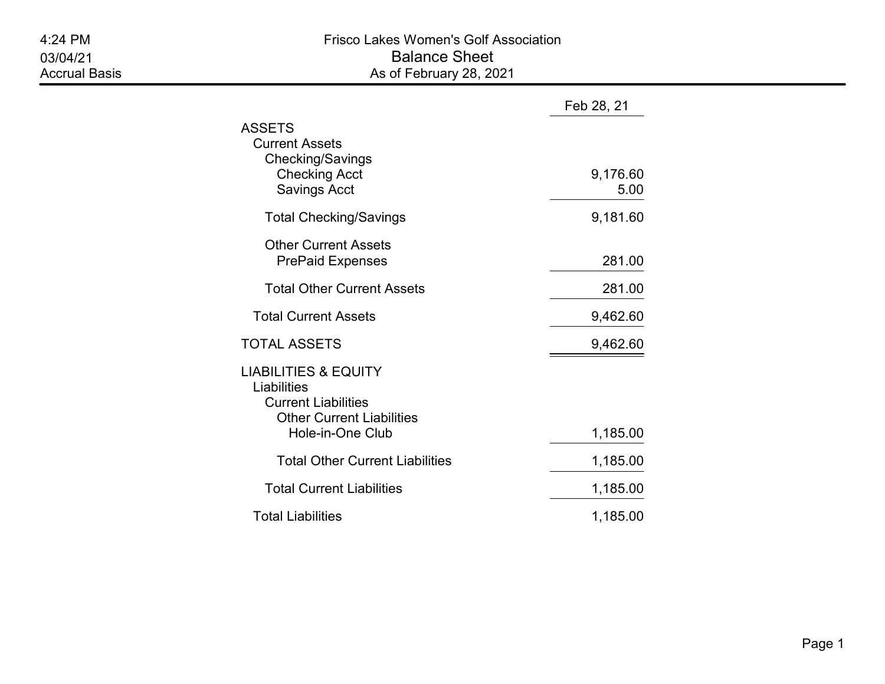|                                                                                                                                      | Feb 28, 21       |
|--------------------------------------------------------------------------------------------------------------------------------------|------------------|
| ASSETS<br><b>Current Assets</b><br>Checking/Savings<br><b>Checking Acct</b><br><b>Savings Acct</b>                                   | 9,176.60<br>5.00 |
| <b>Total Checking/Savings</b>                                                                                                        | 9,181.60         |
| <b>Other Current Assets</b><br><b>PrePaid Expenses</b>                                                                               | 281.00           |
| <b>Total Other Current Assets</b>                                                                                                    | 281.00           |
| <b>Total Current Assets</b>                                                                                                          | 9,462.60         |
| <b>TOTAL ASSETS</b>                                                                                                                  | 9,462.60         |
| <b>LIABILITIES &amp; EQUITY</b><br>Liabilities<br><b>Current Liabilities</b><br><b>Other Current Liabilities</b><br>Hole-in-One Club | 1,185.00         |
| <b>Total Other Current Liabilities</b>                                                                                               | 1,185.00         |
| <b>Total Current Liabilities</b>                                                                                                     | 1,185.00         |
| <b>Total Liabilities</b>                                                                                                             | 1,185.00         |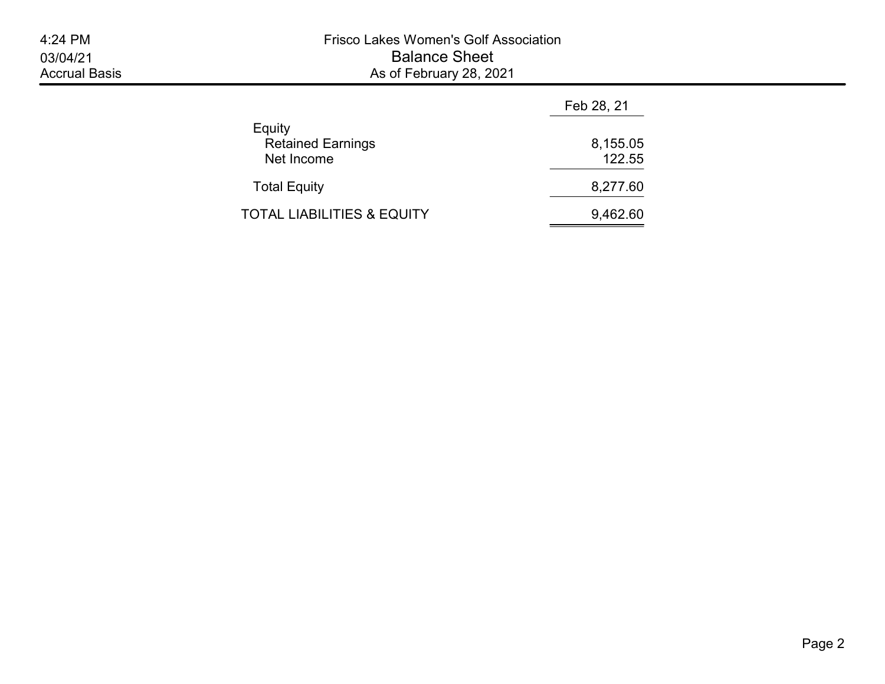|                                                  | Feb 28, 21         |
|--------------------------------------------------|--------------------|
| Equity<br><b>Retained Earnings</b><br>Net Income | 8,155.05<br>122.55 |
| <b>Total Equity</b>                              | 8,277.60           |
| TOTAL LIABILITIES & EQUITY                       | 9,462.60           |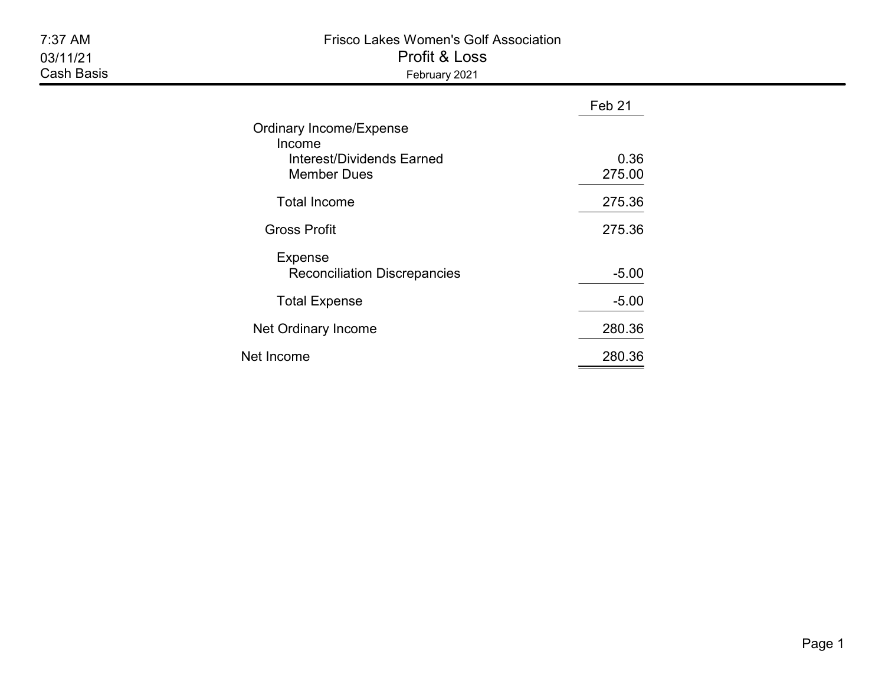| 7:37 AM<br>03/11/21<br><b>Cash Basis</b> | <b>Frisco Lakes Women's Golf Association</b><br>Profit & Loss<br>February 2021              |                |  |  |  |
|------------------------------------------|---------------------------------------------------------------------------------------------|----------------|--|--|--|
|                                          |                                                                                             | Feb 21         |  |  |  |
|                                          | Ordinary Income/Expense<br>Income<br><b>Interest/Dividends Earned</b><br><b>Member Dues</b> | 0.36<br>275.00 |  |  |  |
|                                          | <b>Total Income</b>                                                                         | 275.36         |  |  |  |
|                                          | <b>Gross Profit</b>                                                                         | 275.36         |  |  |  |
|                                          | <b>Expense</b><br><b>Reconciliation Discrepancies</b>                                       | $-5.00$        |  |  |  |
|                                          | <b>Total Expense</b>                                                                        | $-5.00$        |  |  |  |
|                                          | Net Ordinary Income                                                                         | 280.36         |  |  |  |
|                                          | Net Income                                                                                  | 280.36         |  |  |  |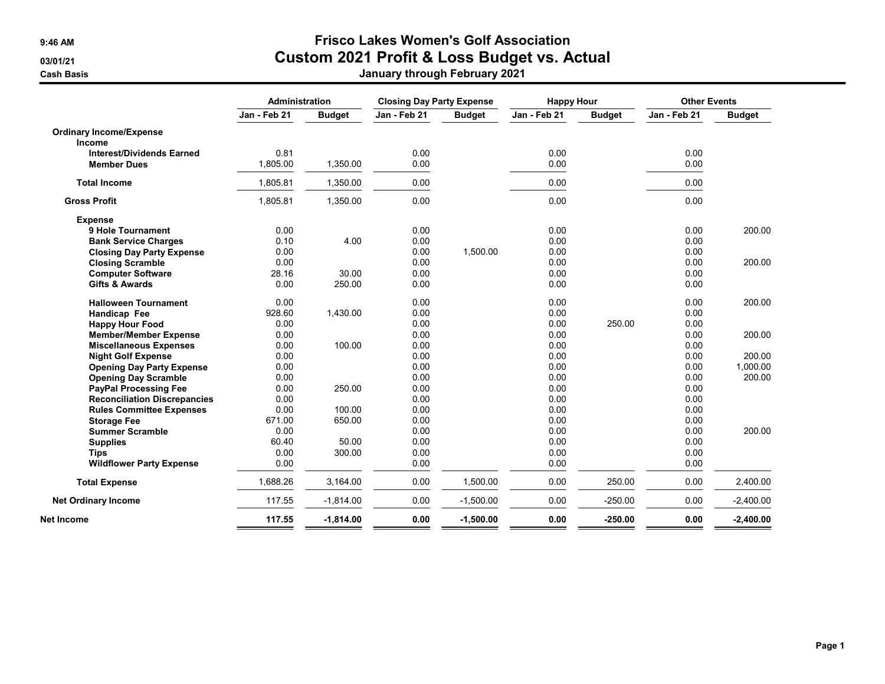## 9:46 AM Frisco Lakes Women's Golf Association 03/01/21 Custom 2021 Profit & Loss Budget vs. Actual Cash Basis January through February 2021

|                                     |              | Administration |              | <b>Closing Day Party Expense</b> | <b>Happy Hour</b> |               |              | <b>Other Events</b> |  |
|-------------------------------------|--------------|----------------|--------------|----------------------------------|-------------------|---------------|--------------|---------------------|--|
|                                     | Jan - Feb 21 | <b>Budget</b>  | Jan - Feb 21 | <b>Budget</b>                    | Jan - Feb 21      | <b>Budget</b> | Jan - Feb 21 | <b>Budget</b>       |  |
| <b>Ordinary Income/Expense</b>      |              |                |              |                                  |                   |               |              |                     |  |
| <b>Income</b>                       |              |                |              |                                  |                   |               |              |                     |  |
| <b>Interest/Dividends Earned</b>    | 0.81         |                | 0.00         |                                  | 0.00              |               | 0.00         |                     |  |
| <b>Member Dues</b>                  | 1,805.00     | 1,350.00       | 0.00         |                                  | 0.00              |               | 0.00         |                     |  |
| <b>Total Income</b>                 | 1,805.81     | 1,350.00       | 0.00         |                                  | 0.00              |               | 0.00         |                     |  |
| <b>Gross Profit</b>                 | 1,805.81     | 1,350.00       | 0.00         |                                  | 0.00              |               | 0.00         |                     |  |
| <b>Expense</b>                      |              |                |              |                                  |                   |               |              |                     |  |
| 9 Hole Tournament                   | 0.00         |                | 0.00         |                                  | 0.00              |               | 0.00         | 200.00              |  |
| <b>Bank Service Charges</b>         | 0.10         | 4.00           | 0.00         |                                  | 0.00              |               | 0.00         |                     |  |
| <b>Closing Day Party Expense</b>    | 0.00         |                | 0.00         | 1.500.00                         | 0.00              |               | 0.00         |                     |  |
| <b>Closing Scramble</b>             | 0.00         |                | 0.00         |                                  | 0.00              |               | 0.00         | 200.00              |  |
| <b>Computer Software</b>            | 28.16        | 30.00          | 0.00         |                                  | 0.00              |               | 0.00         |                     |  |
| <b>Gifts &amp; Awards</b>           | 0.00         | 250.00         | 0.00         |                                  | 0.00              |               | 0.00         |                     |  |
| <b>Halloween Tournament</b>         | 0.00         |                | 0.00         |                                  | 0.00              |               | 0.00         | 200.00              |  |
| Handicap Fee                        | 928.60       | 1,430.00       | 0.00         |                                  | 0.00              |               | 0.00         |                     |  |
| <b>Happy Hour Food</b>              | 0.00         |                | 0.00         |                                  | 0.00              | 250.00        | 0.00         |                     |  |
| <b>Member/Member Expense</b>        | 0.00         |                | 0.00         |                                  | 0.00              |               | 0.00         | 200.00              |  |
| <b>Miscellaneous Expenses</b>       | 0.00         | 100.00         | 0.00         |                                  | 0.00              |               | 0.00         |                     |  |
| <b>Night Golf Expense</b>           | 0.00         |                | 0.00         |                                  | 0.00              |               | 0.00         | 200.00              |  |
| <b>Opening Day Party Expense</b>    | 0.00         |                | 0.00         |                                  | 0.00              |               | 0.00         | 1,000.00            |  |
| <b>Opening Day Scramble</b>         | 0.00         |                | 0.00         |                                  | 0.00              |               | 0.00         | 200.00              |  |
| <b>PayPal Processing Fee</b>        | 0.00         | 250.00         | 0.00         |                                  | 0.00              |               | 0.00         |                     |  |
| <b>Reconciliation Discrepancies</b> | 0.00         |                | 0.00         |                                  | 0.00              |               | 0.00         |                     |  |
| <b>Rules Committee Expenses</b>     | 0.00         | 100.00         | 0.00         |                                  | 0.00              |               | 0.00         |                     |  |
| <b>Storage Fee</b>                  | 671.00       | 650.00         | 0.00         |                                  | 0.00              |               | 0.00         |                     |  |
| <b>Summer Scramble</b>              | 0.00         |                | 0.00         |                                  | 0.00              |               | 0.00         | 200.00              |  |
| <b>Supplies</b>                     | 60.40        | 50.00          | 0.00         |                                  | 0.00              |               | 0.00         |                     |  |
| <b>Tips</b>                         | 0.00         | 300.00         | 0.00         |                                  | 0.00              |               | 0.00         |                     |  |
| <b>Wildflower Party Expense</b>     | 0.00         |                | 0.00         |                                  | 0.00              |               | 0.00         |                     |  |
| <b>Total Expense</b>                | 1,688.26     | 3,164.00       | 0.00         | 1,500.00                         | 0.00              | 250.00        | 0.00         | 2,400.00            |  |
| <b>Net Ordinary Income</b>          | 117.55       | $-1,814.00$    | 0.00         | $-1,500.00$                      | 0.00              | $-250.00$     | 0.00         | $-2,400.00$         |  |
| Net Income                          | 117.55       | $-1,814.00$    | 0.00         | $-1,500.00$                      | 0.00              | $-250.00$     | 0.00         | $-2,400.00$         |  |